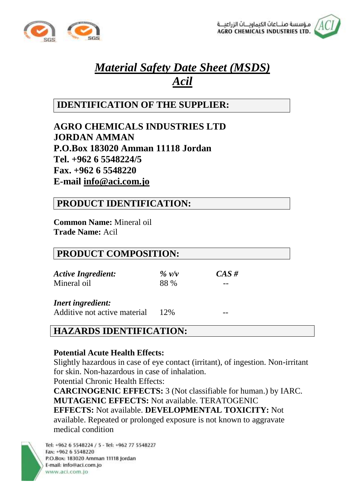



# *Material Safety Date Sheet (MSDS) Acil*

# **IDENTIFICATION OF THE SUPPLIER:**

**AGRO CHEMICALS INDUSTRIES LTD JORDAN AMMAN P.O.Box 183020 Amman 11118 Jordan Tel. +962 6 5548224/5 Fax. +962 6 5548220 E-mail info@aci.com.jo** 

### **PRODUCT IDENTIFICATION:**

**Common Name:** Mineral oil **Trade Name:** Acil

### **PRODUCT COMPOSITION:**

*Active Ingredient: % v/v CAS #* Mineral oil 88 %

*Inert ingredient:* 

Additive not active material  $12\%$ 

# **HAZARDS IDENTIFICATION:**

### **Potential Acute Health Effects:**

Slightly hazardous in case of eye contact (irritant), of ingestion. Non-irritant for skin. Non-hazardous in case of inhalation.

Potential Chronic Health Effects:

**CARCINOGENIC EFFECTS:** 3 (Not classifiable for human.) by IARC. **MUTAGENIC EFFECTS:** Not available. TERATOGENIC **EFFECTS:** Not available. **DEVELOPMENTAL TOXICITY:** Not available. Repeated or prolonged exposure is not known to aggravate medical condition

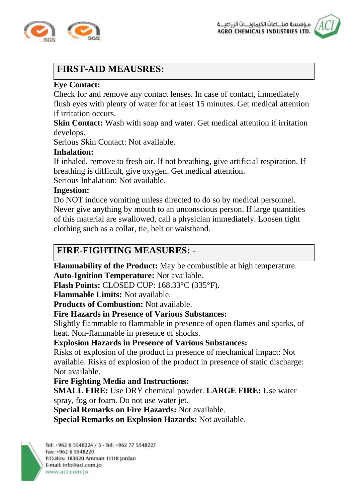



# **FIRST-AID MEAUSRES:**

### **Eye Contact:**

Check for and remove any contact lenses. In case of contact, immediately flush eyes with plenty of water for at least 15 minutes. Get medical attention if irritation occurs.

**Skin Contact:** Wash with soap and water. Get medical attention if irritation develops.

Serious Skin Contact: Not available.

#### **Inhalation:**

If inhaled, remove to fresh air. If not breathing, give artificial respiration. If breathing is difficult, give oxygen. Get medical attention.

Serious Inhalation: Not available.

#### **Ingestion:**

Do NOT induce vomiting unless directed to do so by medical personnel. Never give anything by mouth to an unconscious person. If large quantities of this material are swallowed, call a physician immediately. Loosen tight clothing such as a collar, tie, belt or waistband.

# **FIRE-FIGHTING MEASURES: -**

**Flammability of the Product:** May be combustible at high temperature. **Auto-Ignition Temperature:** Not available.

**Flash Points:** CLOSED CUP: 168.33°C (335°F).

**Flammable Limits:** Not available.

**Products of Combustion:** Not available.

### **Fire Hazards in Presence of Various Substances:**

Slightly flammable to flammable in presence of open flames and sparks, of heat. Non-flammable in presence of shocks.

#### **Explosion Hazards in Presence of Various Substances:**

Risks of explosion of the product in presence of mechanical impact: Not available. Risks of explosion of the product in presence of static discharge: Not available.

### **Fire Fighting Media and Instructions:**

**SMALL FIRE:** Use DRY chemical powder. **LARGE FIRE:** Use water spray, fog or foam. Do not use water jet.

**Special Remarks on Fire Hazards:** Not available.

**Special Remarks on Explosion Hazards:** Not available.

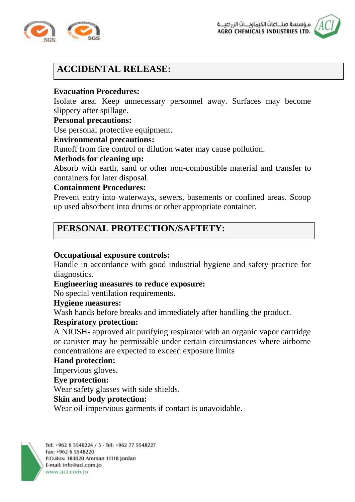



# **ACCIDENTAL RELEASE:**

#### **Evacuation Procedures:**

Isolate area. Keep unnecessary personnel away. Surfaces may become slippery after spillage.

#### **Personal precautions:**

Use personal protective equipment.

#### **Environmental precautions:**

Runoff from fire control or dilution water may cause pollution.

#### **Methods for cleaning up:**

Absorb with earth, sand or other non-combustible material and transfer to containers for later disposal.

#### **Containment Procedures:**

Prevent entry into waterways, sewers, basements or confined areas. Scoop up used absorbent into drums or other appropriate container.

# **PERSONAL PROTECTION/SAFTETY:**

#### **Occupational exposure controls:**

Handle in accordance with good industrial hygiene and safety practice for diagnostics.

#### **Engineering measures to reduce exposure:**

No special ventilation requirements.

#### **Hygiene measures:**

Wash hands before breaks and immediately after handling the product.

#### **Respiratory protection:**

A NIOSH- approved air purifying respirator with an organic vapor cartridge or canister may be permissible under certain circumstances where airborne concentrations are expected to exceed exposure limits

#### **Hand protection:**

Impervious gloves.

#### **Eye protection:**

Wear safety glasses with side shields.

#### **Skin and body protection:**

Wear oil-impervious garments if contact is unavoidable.

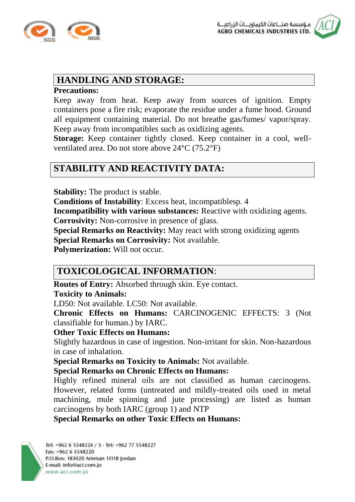



### **HANDLING AND STORAGE:**

#### **Precautions:**

Keep away from heat. Keep away from sources of ignition. Empty containers pose a fire risk; evaporate the residue under a fume hood. Ground all equipment containing material. Do not breathe gas/fumes/ vapor/spray. Keep away from incompatibles such as oxidizing agents.

**Storage:** Keep container tightly closed. Keep container in a cool, wellventilated area. Do not store above 24°C (75.2°F)

# **STABILITY AND REACTIVITY DATA:**

**Stability:** The product is stable.

**Conditions of Instability**: Excess heat, incompatiblesp. 4

**Incompatibility with various substances:** Reactive with oxidizing agents.

**Corrosivity:** Non-corrosive in presence of glass.

**Special Remarks on Reactivity:** May react with strong oxidizing agents **Special Remarks on Corrosivity:** Not available.

**Polymerization:** Will not occur.

# **TOXICOLOGICAL INFORMATION**:

**Routes of Entry:** Absorbed through skin. Eye contact.

#### **Toxicity to Animals:**

LD50: Not available. LC50: Not available.

**Chronic Effects on Humans:** CARCINOGENIC EFFECTS: 3 (Not classifiable for human.) by IARC.

#### **Other Toxic Effects on Humans:**

Slightly hazardous in case of ingestion. Non-irritant for skin. Non-hazardous in case of inhalation.

**Special Remarks on Toxicity to Animals:** Not available.

**Special Remarks on Chronic Effects on Humans:**

Highly refined mineral oils are not classified as human carcinogens. However, related forms (untreated and mildly-treated oils used in metal machining, mule spinning and jute processing) are listed as human carcinogens by both IARC (group 1) and NTP

**Special Remarks on other Toxic Effects on Humans:**

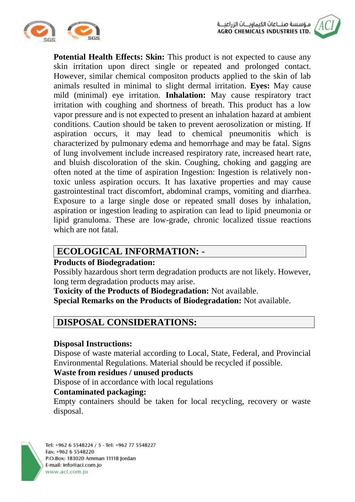



**Potential Health Effects: Skin:** This product is not expected to cause any skin irritation upon direct single or repeated and prolonged contact. However, similar chemical compositon products applied to the skin of lab animals resulted in minimal to slight dermal irritation. **Eyes:** May cause mild (minimal) eye irritation. **Inhalation:** May cause respiratory tract irritation with coughing and shortness of breath. This product has a low vapor pressure and is not expected to present an inhalation hazard at ambient conditions. Caution should be taken to prevent aerosolization or misting. If aspiration occurs, it may lead to chemical pneumonitis which is characterized by pulmonary edema and hemorrhage and may be fatal. Signs of lung involvement include increased respiratory rate, increased heart rate, and bluish discoloration of the skin. Coughing, choking and gagging are often noted at the time of aspiration Ingestion: Ingestion is relatively nontoxic unless aspiration occurs. It has laxative properties and may cause gastrointestinal tract discomfort, abdominal cramps, vomiting and diarrhea. Exposure to a large single dose or repeated small doses by inhalation, aspiration or ingestion leading to aspiration can lead to lipid pneumonia or lipid granuloma. These are low-grade, chronic localized tissue reactions which are not fatal.

# **ECOLOGICAL INFORMATION: -**

### **Products of Biodegradation:**

Possibly hazardous short term degradation products are not likely. However, long term degradation products may arise.

**Toxicity of the Products of Biodegradation:** Not available.

**Special Remarks on the Products of Biodegradation:** Not available.

# **DISPOSAL CONSIDERATIONS:**

### **Disposal Instructions:**

Dispose of waste material according to Local, State, Federal, and Provincial Environmental Regulations. Material should be recycled if possible.

### **Waste from residues / unused products**:

Dispose of in accordance with local regulations

### **Contaminated packaging:**

Empty containers should be taken for local recycling, recovery or waste disposal.